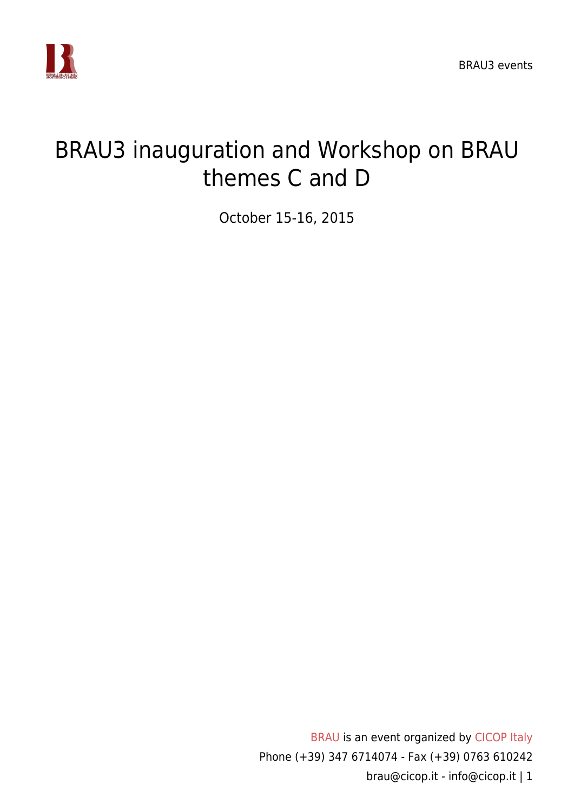

## BRAU3 inauguration and Workshop on BRAU themes C and D

October 15-16, 2015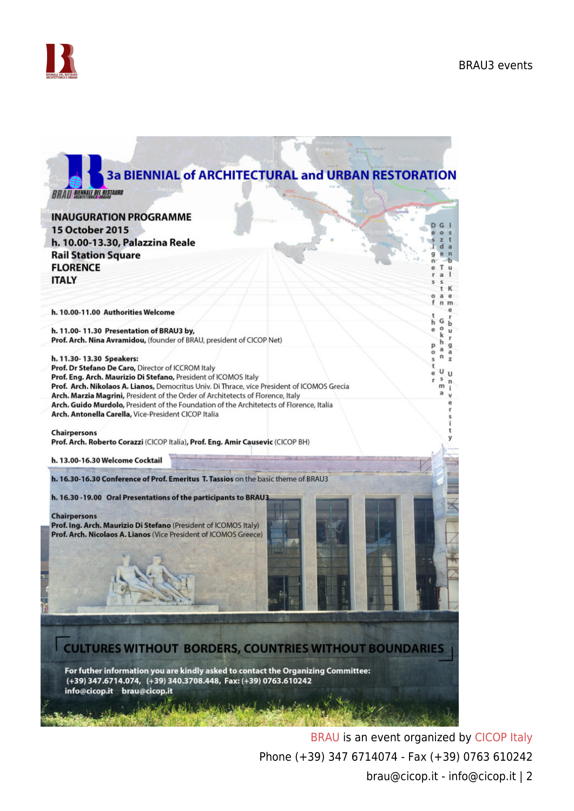



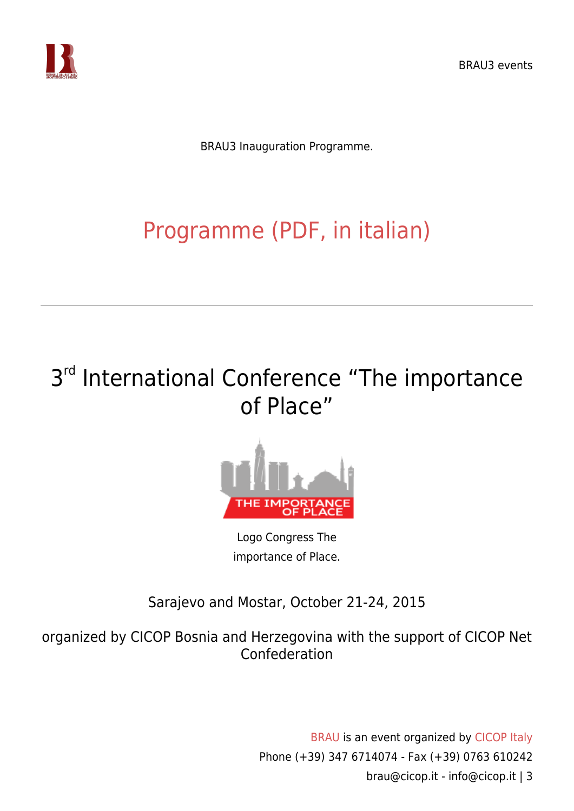

BRAU3 Inauguration Programme.

# [Programme \(PDF, in italian\)](https://www.cicop.it/brau/wp-content/uploads/2016/11/Progr.-Inaugurazione-BRAU3.pdf)

## 3<sup>rd</sup> International Conference "The importance of Place"



Logo Congress The importance of Place.

Sarajevo and Mostar, October 21-24, 2015

organized by CICOP Bosnia and Herzegovina with the support of CICOP Net Confederation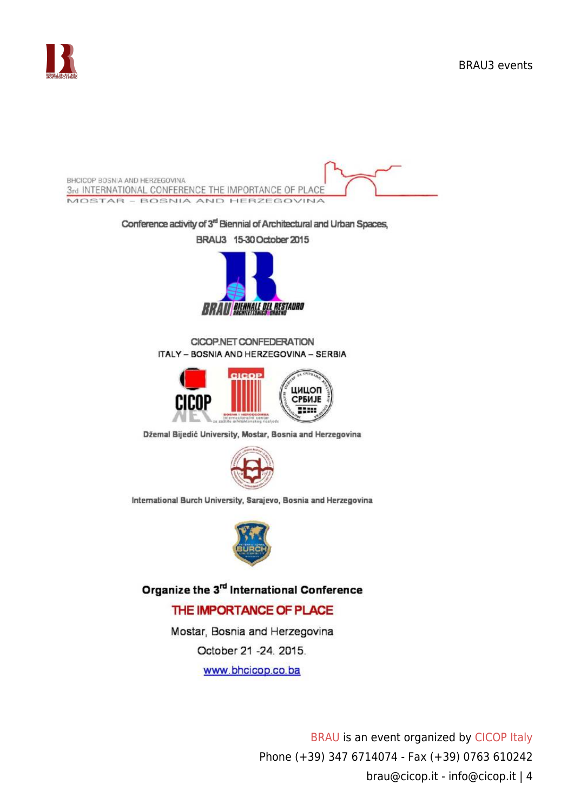



October 21 -24, 2015.

www.bhcicop.co.ba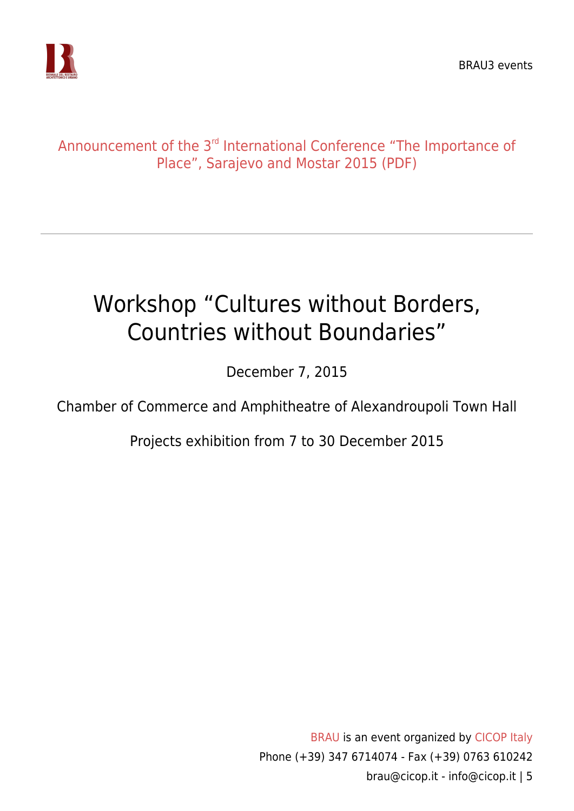

### [Announcement of the 3](https://www.cicop.it/brau/wp-content/uploads/2017/06/1st_Call_Mostar2015.pdf)<sup>[rd](https://www.cicop.it/brau/wp-content/uploads/2017/06/1st_Call_Mostar2015.pdf)</sup> [International Conference "The Importance of](https://www.cicop.it/brau/wp-content/uploads/2017/06/1st_Call_Mostar2015.pdf) [Place", Sarajevo and Mostar 2015 \(PDF\)](https://www.cicop.it/brau/wp-content/uploads/2017/06/1st_Call_Mostar2015.pdf)

# Workshop "Cultures without Borders, Countries without Boundaries"

December 7, 2015

Chamber of Commerce and Amphitheatre of Alexandroupoli Town Hall

Projects exhibition from 7 to 30 December 2015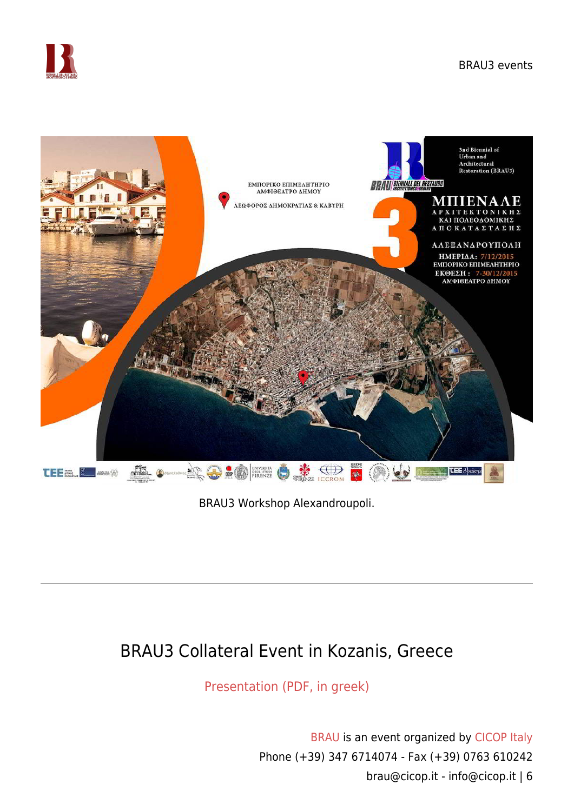



BRAU3 Workshop Alexandroupoli.

## BRAU3 Collateral Event in Kozanis, Greece

[Presentation \(PDF, in greek\)](https://www.cicop.it/brau/wp-content/uploads/2017/06/BRAU3-KOZANIS.pdf)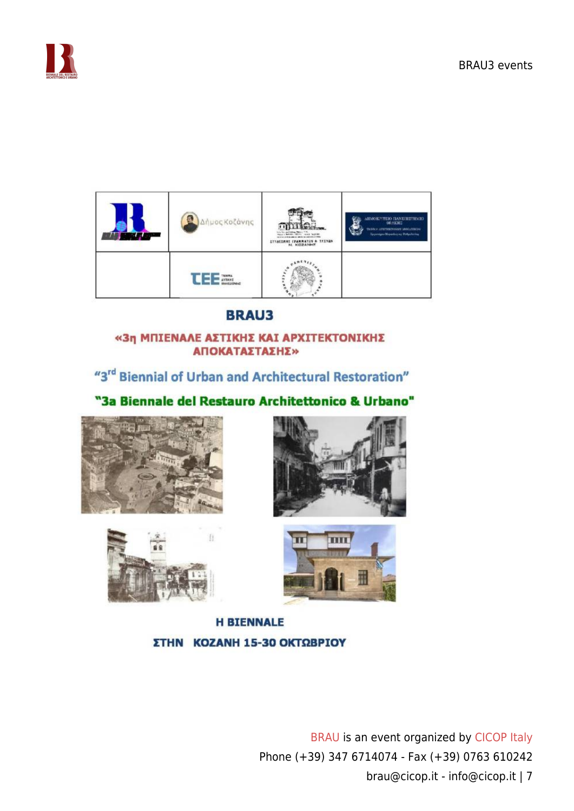



### **BRAU3**

### «3η ΜΠΙΕΝΑΛΕ ΑΣΤΙΚΗΣ ΚΑΙ ΑΡΧΙΤΕΚΤΟΝΙΚΗΣ ΑΠΟΚΑΤΑΣΤΑΣΗΣ»

"3<sup>rd</sup> Biennial of Urban and Architectural Restoration"

"3a Biennale del Restauro Architettonico & Urbano"









**H BIENNALE** ΣΤΗΝ ΚΟΖΑΝΗ 15-30 ΟΚΤΩΒΡΙΟΥ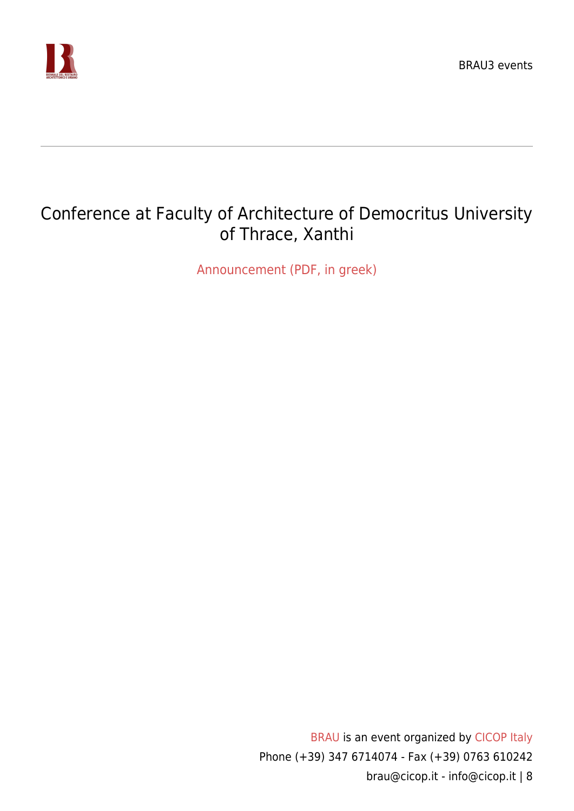

## Conference at Faculty of Architecture of Democritus University of Thrace, Xanthi

[Announcement \(PDF, in greek\)](https://www.cicop.it/brau/wp-content/uploads/2017/11/BRAU3-Xanthi.pdf)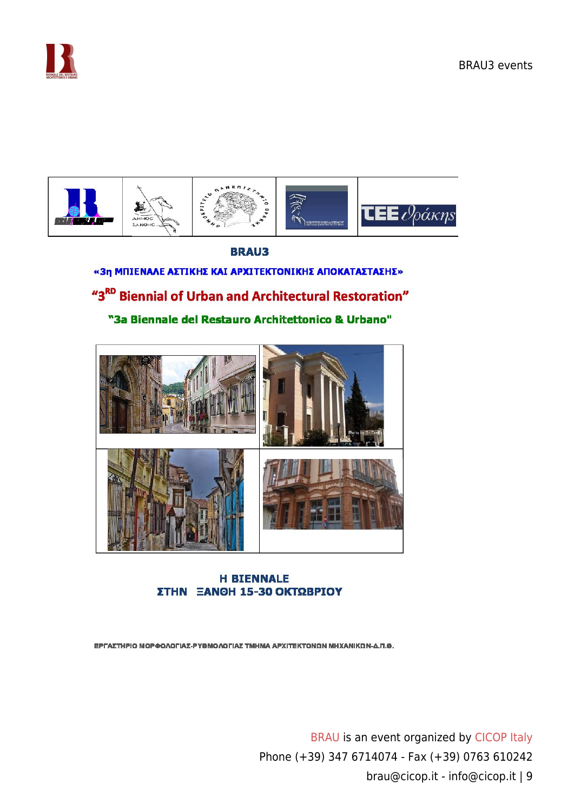



### **BRAU3** «3η ΜΠΙΕΝΑΛΕ ΑΣΤΙΚΗΣ ΚΑΙ ΑΡΧΙΤΕΚΤΟΝΙΚΗΣ ΑΠΟΚΑΤΑΣΤΑΣΗΣ» "3<sup>RD</sup> Biennial of Urban and Architectural Restoration" "3a Biennale del Restauro Architettonico & Urbano"



#### **H BIENNALE** ΣΤΗΝ ΞΑΝΘΗ 15-30 ΟΚΤΩΒΡΙΟΥ

ΕΡΓΑΣΤΗΡΙΟ ΜΟΡΦΟΛΟΓΙΑΣ-ΡΥΘΜΟΛΟΓΙΑΣ ΤΜΗΜΑ ΑΡΧΙΤΕΚΤΟΝΩΝ ΜΗΧΑΝΙΚΩΝ-Δ.Π.Θ.